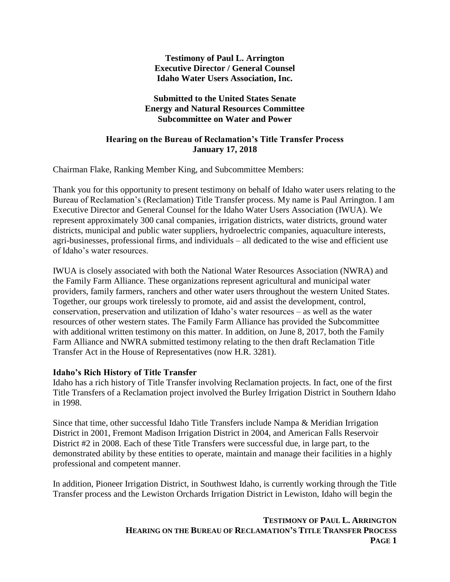#### **Testimony of Paul L. Arrington Executive Director / General Counsel Idaho Water Users Association, Inc.**

## **Submitted to the United States Senate Energy and Natural Resources Committee Subcommittee on Water and Power**

#### **Hearing on the Bureau of Reclamation's Title Transfer Process January 17, 2018**

Chairman Flake, Ranking Member King, and Subcommittee Members:

Thank you for this opportunity to present testimony on behalf of Idaho water users relating to the Bureau of Reclamation's (Reclamation) Title Transfer process. My name is Paul Arrington. I am Executive Director and General Counsel for the Idaho Water Users Association (IWUA). We represent approximately 300 canal companies, irrigation districts, water districts, ground water districts, municipal and public water suppliers, hydroelectric companies, aquaculture interests, agri-businesses, professional firms, and individuals – all dedicated to the wise and efficient use of Idaho's water resources.

IWUA is closely associated with both the National Water Resources Association (NWRA) and the Family Farm Alliance. These organizations represent agricultural and municipal water providers, family farmers, ranchers and other water users throughout the western United States. Together, our groups work tirelessly to promote, aid and assist the development, control, conservation, preservation and utilization of Idaho's water resources – as well as the water resources of other western states. The Family Farm Alliance has provided the Subcommittee with additional written testimony on this matter. In addition, on June 8, 2017, both the Family Farm Alliance and NWRA submitted testimony relating to the then draft Reclamation Title Transfer Act in the House of Representatives (now H.R. 3281).

#### **Idaho's Rich History of Title Transfer**

Idaho has a rich history of Title Transfer involving Reclamation projects. In fact, one of the first Title Transfers of a Reclamation project involved the Burley Irrigation District in Southern Idaho in 1998.

Since that time, other successful Idaho Title Transfers include Nampa & Meridian Irrigation District in 2001, Fremont Madison Irrigation District in 2004, and American Falls Reservoir District #2 in 2008. Each of these Title Transfers were successful due, in large part, to the demonstrated ability by these entities to operate, maintain and manage their facilities in a highly professional and competent manner.

In addition, Pioneer Irrigation District, in Southwest Idaho, is currently working through the Title Transfer process and the Lewiston Orchards Irrigation District in Lewiston, Idaho will begin the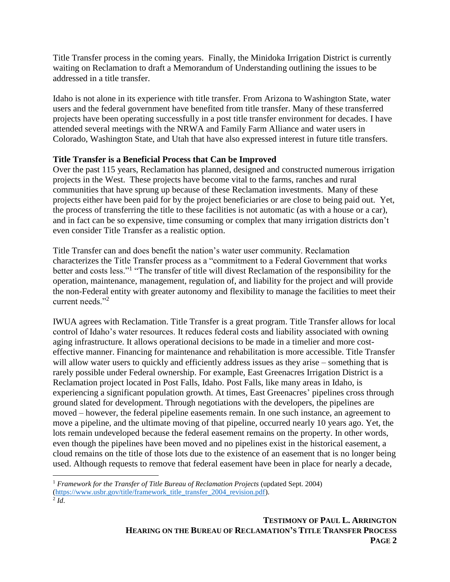Title Transfer process in the coming years. Finally, the Minidoka Irrigation District is currently waiting on Reclamation to draft a Memorandum of Understanding outlining the issues to be addressed in a title transfer.

Idaho is not alone in its experience with title transfer. From Arizona to Washington State, water users and the federal government have benefited from title transfer. Many of these transferred projects have been operating successfully in a post title transfer environment for decades. I have attended several meetings with the NRWA and Family Farm Alliance and water users in Colorado, Washington State, and Utah that have also expressed interest in future title transfers.

# **Title Transfer is a Beneficial Process that Can be Improved**

Over the past 115 years, Reclamation has planned, designed and constructed numerous irrigation projects in the West. These projects have become vital to the farms, ranches and rural communities that have sprung up because of these Reclamation investments. Many of these projects either have been paid for by the project beneficiaries or are close to being paid out. Yet, the process of transferring the title to these facilities is not automatic (as with a house or a car), and in fact can be so expensive, time consuming or complex that many irrigation districts don't even consider Title Transfer as a realistic option.

Title Transfer can and does benefit the nation's water user community. Reclamation characterizes the Title Transfer process as a "commitment to a Federal Government that works better and costs less."<sup>1</sup> "The transfer of title will divest Reclamation of the responsibility for the operation, maintenance, management, regulation of, and liability for the project and will provide the non-Federal entity with greater autonomy and flexibility to manage the facilities to meet their current needs<sup>"2</sup>

IWUA agrees with Reclamation. Title Transfer is a great program. Title Transfer allows for local control of Idaho's water resources. It reduces federal costs and liability associated with owning aging infrastructure. It allows operational decisions to be made in a timelier and more costeffective manner. Financing for maintenance and rehabilitation is more accessible. Title Transfer will allow water users to quickly and efficiently address issues as they arise – something that is rarely possible under Federal ownership. For example, East Greenacres Irrigation District is a Reclamation project located in Post Falls, Idaho. Post Falls, like many areas in Idaho, is experiencing a significant population growth. At times, East Greenacres' pipelines cross through ground slated for development. Through negotiations with the developers, the pipelines are moved – however, the federal pipeline easements remain. In one such instance, an agreement to move a pipeline, and the ultimate moving of that pipeline, occurred nearly 10 years ago. Yet, the lots remain undeveloped because the federal easement remains on the property. In other words, even though the pipelines have been moved and no pipelines exist in the historical easement, a cloud remains on the title of those lots due to the existence of an easement that is no longer being used. Although requests to remove that federal easement have been in place for nearly a decade,

 $\overline{\phantom{a}}$ 

<sup>1</sup> *Framework for the Transfer of Title Bureau of Reclamation Projects* (updated Sept. 2004) [\(https://www.usbr.gov/title/framework\\_title\\_transfer\\_2004\\_revision.pdf\)](https://www.usbr.gov/title/framework_title_transfer_2004_revision.pdf).

<sup>2</sup> *Id*.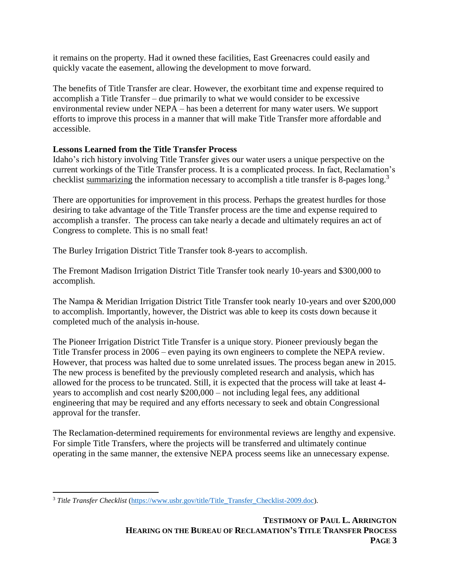it remains on the property. Had it owned these facilities, East Greenacres could easily and quickly vacate the easement, allowing the development to move forward.

The benefits of Title Transfer are clear. However, the exorbitant time and expense required to accomplish a Title Transfer – due primarily to what we would consider to be excessive environmental review under NEPA – has been a deterrent for many water users. We support efforts to improve this process in a manner that will make Title Transfer more affordable and accessible.

# **Lessons Learned from the Title Transfer Process**

Idaho's rich history involving Title Transfer gives our water users a unique perspective on the current workings of the Title Transfer process. It is a complicated process. In fact, Reclamation's checklist summarizing the information necessary to accomplish a title transfer is 8-pages long.<sup>3</sup>

There are opportunities for improvement in this process. Perhaps the greatest hurdles for those desiring to take advantage of the Title Transfer process are the time and expense required to accomplish a transfer. The process can take nearly a decade and ultimately requires an act of Congress to complete. This is no small feat!

The Burley Irrigation District Title Transfer took 8-years to accomplish.

The Fremont Madison Irrigation District Title Transfer took nearly 10-years and \$300,000 to accomplish.

The Nampa & Meridian Irrigation District Title Transfer took nearly 10-years and over \$200,000 to accomplish. Importantly, however, the District was able to keep its costs down because it completed much of the analysis in-house.

The Pioneer Irrigation District Title Transfer is a unique story. Pioneer previously began the Title Transfer process in 2006 – even paying its own engineers to complete the NEPA review. However, that process was halted due to some unrelated issues. The process began anew in 2015. The new process is benefited by the previously completed research and analysis, which has allowed for the process to be truncated. Still, it is expected that the process will take at least 4 years to accomplish and cost nearly \$200,000 – not including legal fees, any additional engineering that may be required and any efforts necessary to seek and obtain Congressional approval for the transfer.

The Reclamation-determined requirements for environmental reviews are lengthy and expensive. For simple Title Transfers, where the projects will be transferred and ultimately continue operating in the same manner, the extensive NEPA process seems like an unnecessary expense.

 $\overline{\phantom{a}}$ <sup>3</sup> Title Transfer Checklist [\(https://www.usbr.gov/title/Title\\_Transfer\\_Checklist-2009.doc\)](https://www.usbr.gov/title/Title_Transfer_Checklist-2009.doc).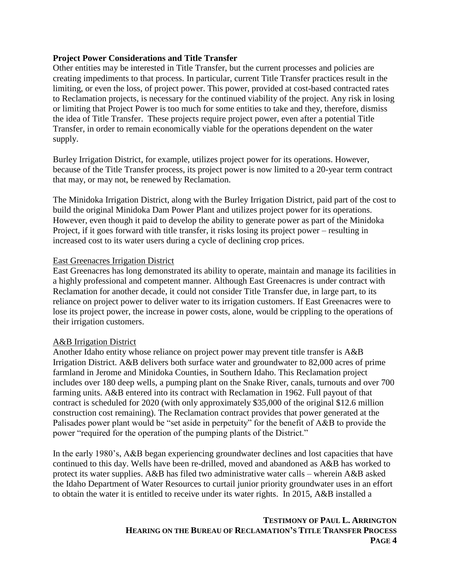#### **Project Power Considerations and Title Transfer**

Other entities may be interested in Title Transfer, but the current processes and policies are creating impediments to that process. In particular, current Title Transfer practices result in the limiting, or even the loss, of project power. This power, provided at cost-based contracted rates to Reclamation projects, is necessary for the continued viability of the project. Any risk in losing or limiting that Project Power is too much for some entities to take and they, therefore, dismiss the idea of Title Transfer. These projects require project power, even after a potential Title Transfer, in order to remain economically viable for the operations dependent on the water supply.

Burley Irrigation District, for example, utilizes project power for its operations. However, because of the Title Transfer process, its project power is now limited to a 20-year term contract that may, or may not, be renewed by Reclamation.

The Minidoka Irrigation District, along with the Burley Irrigation District, paid part of the cost to build the original Minidoka Dam Power Plant and utilizes project power for its operations. However, even though it paid to develop the ability to generate power as part of the Minidoka Project, if it goes forward with title transfer, it risks losing its project power – resulting in increased cost to its water users during a cycle of declining crop prices.

#### East Greenacres Irrigation District

East Greenacres has long demonstrated its ability to operate, maintain and manage its facilities in a highly professional and competent manner. Although East Greenacres is under contract with Reclamation for another decade, it could not consider Title Transfer due, in large part, to its reliance on project power to deliver water to its irrigation customers. If East Greenacres were to lose its project power, the increase in power costs, alone, would be crippling to the operations of their irrigation customers.

#### A&B Irrigation District

Another Idaho entity whose reliance on project power may prevent title transfer is A&B Irrigation District. A&B delivers both surface water and groundwater to 82,000 acres of prime farmland in Jerome and Minidoka Counties, in Southern Idaho. This Reclamation project includes over 180 deep wells, a pumping plant on the Snake River, canals, turnouts and over 700 farming units. A&B entered into its contract with Reclamation in 1962. Full payout of that contract is scheduled for 2020 (with only approximately \$35,000 of the original \$12.6 million construction cost remaining). The Reclamation contract provides that power generated at the Palisades power plant would be "set aside in perpetuity" for the benefit of A&B to provide the power "required for the operation of the pumping plants of the District."

In the early 1980's, A&B began experiencing groundwater declines and lost capacities that have continued to this day. Wells have been re-drilled, moved and abandoned as A&B has worked to protect its water supplies. A&B has filed two administrative water calls – wherein A&B asked the Idaho Department of Water Resources to curtail junior priority groundwater uses in an effort to obtain the water it is entitled to receive under its water rights. In 2015, A&B installed a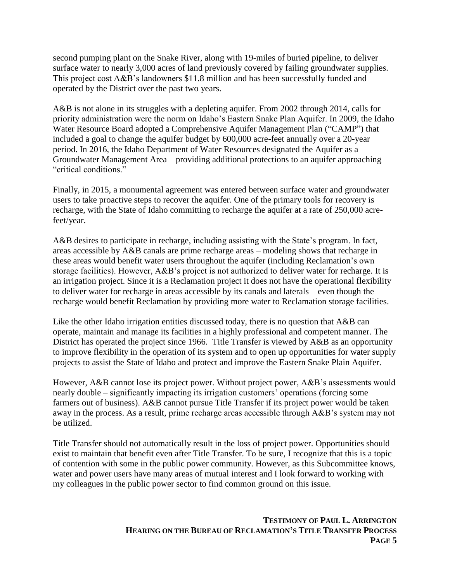second pumping plant on the Snake River, along with 19-miles of buried pipeline, to deliver surface water to nearly 3,000 acres of land previously covered by failing groundwater supplies. This project cost A&B's landowners \$11.8 million and has been successfully funded and operated by the District over the past two years.

A&B is not alone in its struggles with a depleting aquifer. From 2002 through 2014, calls for priority administration were the norm on Idaho's Eastern Snake Plan Aquifer. In 2009, the Idaho Water Resource Board adopted a Comprehensive Aquifer Management Plan ("CAMP") that included a goal to change the aquifer budget by 600,000 acre-feet annually over a 20-year period. In 2016, the Idaho Department of Water Resources designated the Aquifer as a Groundwater Management Area – providing additional protections to an aquifer approaching "critical conditions."

Finally, in 2015, a monumental agreement was entered between surface water and groundwater users to take proactive steps to recover the aquifer. One of the primary tools for recovery is recharge, with the State of Idaho committing to recharge the aquifer at a rate of 250,000 acrefeet/year.

A&B desires to participate in recharge, including assisting with the State's program. In fact, areas accessible by A&B canals are prime recharge areas – modeling shows that recharge in these areas would benefit water users throughout the aquifer (including Reclamation's own storage facilities). However, A&B's project is not authorized to deliver water for recharge. It is an irrigation project. Since it is a Reclamation project it does not have the operational flexibility to deliver water for recharge in areas accessible by its canals and laterals – even though the recharge would benefit Reclamation by providing more water to Reclamation storage facilities.

Like the other Idaho irrigation entities discussed today, there is no question that A&B can operate, maintain and manage its facilities in a highly professional and competent manner. The District has operated the project since 1966. Title Transfer is viewed by A&B as an opportunity to improve flexibility in the operation of its system and to open up opportunities for water supply projects to assist the State of Idaho and protect and improve the Eastern Snake Plain Aquifer.

However, A&B cannot lose its project power. Without project power, A&B's assessments would nearly double – significantly impacting its irrigation customers' operations (forcing some farmers out of business). A&B cannot pursue Title Transfer if its project power would be taken away in the process. As a result, prime recharge areas accessible through A&B's system may not be utilized.

Title Transfer should not automatically result in the loss of project power. Opportunities should exist to maintain that benefit even after Title Transfer. To be sure, I recognize that this is a topic of contention with some in the public power community. However, as this Subcommittee knows, water and power users have many areas of mutual interest and I look forward to working with my colleagues in the public power sector to find common ground on this issue.